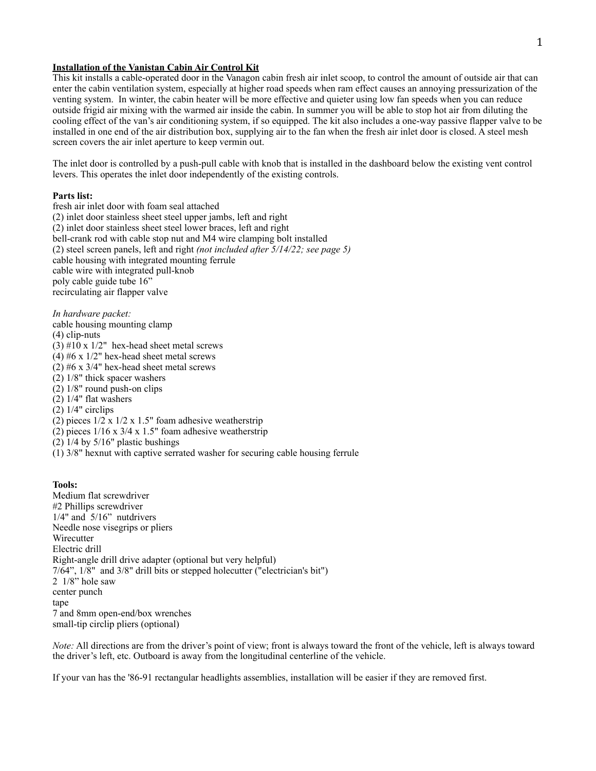# **Installation of the Vanistan Cabin Air Control Kit**

This kit installs a cable-operated door in the Vanagon cabin fresh air inlet scoop, to control the amount of outside air that can enter the cabin ventilation system, especially at higher road speeds when ram effect causes an annoying pressurization of the venting system. In winter, the cabin heater will be more effective and quieter using low fan speeds when you can reduce outside frigid air mixing with the warmed air inside the cabin. In summer you will be able to stop hot air from diluting the cooling effect of the van's air conditioning system, if so equipped. The kit also includes a one-way passive flapper valve to be installed in one end of the air distribution box, supplying air to the fan when the fresh air inlet door is closed. A steel mesh screen covers the air inlet aperture to keep vermin out.

The inlet door is controlled by a push-pull cable with knob that is installed in the dashboard below the existing vent control levers. This operates the inlet door independently of the existing controls.

# **Parts list:**

fresh air inlet door with foam seal attached (2) inlet door stainless sheet steel upper jambs, left and right (2) inlet door stainless sheet steel lower braces, left and right bell-crank rod with cable stop nut and M4 wire clamping bolt installed (2) steel screen panels, left and right *(not included after 5/14/22; see page 5)* cable housing with integrated mounting ferrule cable wire with integrated pull-knob poly cable guide tube 16" recirculating air flapper valve

*In hardware packet:* cable housing mounting clamp (4) clip-nuts (3)  $#10 \times 1/2$ " hex-head sheet metal screws (4)  $#6 x 1/2"$  hex-head sheet metal screws (2) #6 x 3/4" hex-head sheet metal screws (2) 1/8" thick spacer washers (2) 1/8" round push-on clips (2) 1/4" flat washers  $(2)$  1/4" circlips (2) pieces  $1/2 \times 1/2 \times 1.5$ " foam adhesive weatherstrip (2) pieces  $1/16 \times 3/4 \times 1.5$ " foam adhesive weatherstrip (2)  $1/4$  by  $5/16$ " plastic bushings

(1) 3/8" hexnut with captive serrated washer for securing cable housing ferrule

#### **Tools:**

Medium flat screwdriver #2 Phillips screwdriver 1/4" and 5/16" nutdrivers Needle nose visegrips or pliers **Wirecutter** Electric drill Right-angle drill drive adapter (optional but very helpful) 7/64", 1/8" and 3/8" drill bits or stepped holecutter ("electrician's bit") 2 1/8" hole saw center punch tape 7 and 8mm open-end/box wrenches small-tip circlip pliers (optional)

*Note:* All directions are from the driver's point of view; front is always toward the front of the vehicle, left is always toward the driver's left, etc. Outboard is away from the longitudinal centerline of the vehicle.

If your van has the '86-91 rectangular headlights assemblies, installation will be easier if they are removed first.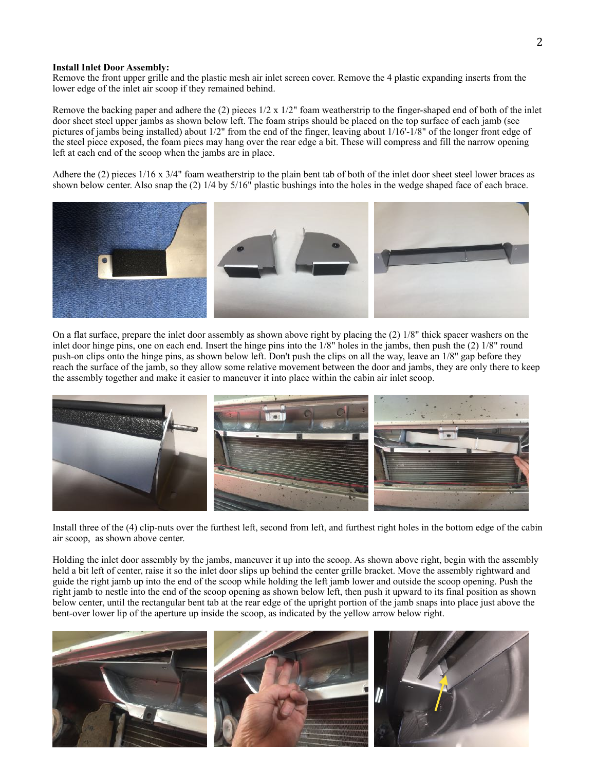### **Install Inlet Door Assembly:**

Remove the front upper grille and the plastic mesh air inlet screen cover. Remove the 4 plastic expanding inserts from the lower edge of the inlet air scoop if they remained behind.

Remove the backing paper and adhere the (2) pieces  $1/2 \times 1/2$ " foam weatherstrip to the finger-shaped end of both of the inlet door sheet steel upper jambs as shown below left. The foam strips should be placed on the top surface of each jamb (see pictures of jambs being installed) about 1/2" from the end of the finger, leaving about 1/16'-1/8" of the longer front edge of the steel piece exposed, the foam piecs may hang over the rear edge a bit. These will compress and fill the narrow opening left at each end of the scoop when the jambs are in place.

Adhere the (2) pieces  $1/16 \times 3/4$ " foam weatherstrip to the plain bent tab of both of the inlet door sheet steel lower braces as shown below center. Also snap the (2) 1/4 by 5/16" plastic bushings into the holes in the wedge shaped face of each brace.



On a flat surface, prepare the inlet door assembly as shown above right by placing the (2) 1/8" thick spacer washers on the inlet door hinge pins, one on each end. Insert the hinge pins into the 1/8" holes in the jambs, then push the (2) 1/8" round push-on clips onto the hinge pins, as shown below left. Don't push the clips on all the way, leave an 1/8" gap before they reach the surface of the jamb, so they allow some relative movement between the door and jambs, they are only there to keep the assembly together and make it easier to maneuver it into place within the cabin air inlet scoop.



Install three of the (4) clip-nuts over the furthest left, second from left, and furthest right holes in the bottom edge of the cabin air scoop, as shown above center.

Holding the inlet door assembly by the jambs, maneuver it up into the scoop. As shown above right, begin with the assembly held a bit left of center, raise it so the inlet door slips up behind the center grille bracket. Move the assembly rightward and guide the right jamb up into the end of the scoop while holding the left jamb lower and outside the scoop opening. Push the right jamb to nestle into the end of the scoop opening as shown below left, then push it upward to its final position as shown below center, until the rectangular bent tab at the rear edge of the upright portion of the jamb snaps into place just above the bent-over lower lip of the aperture up inside the scoop, as indicated by the yellow arrow below right.

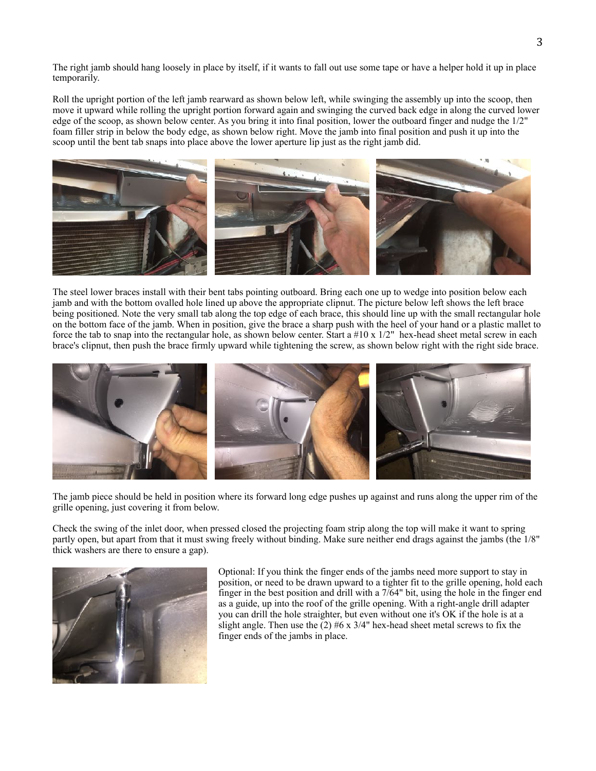The right jamb should hang loosely in place by itself, if it wants to fall out use some tape or have a helper hold it up in place temporarily.

Roll the upright portion of the left jamb rearward as shown below left, while swinging the assembly up into the scoop, then move it upward while rolling the upright portion forward again and swinging the curved back edge in along the curved lower edge of the scoop, as shown below center. As you bring it into final position, lower the outboard finger and nudge the 1/2" foam filler strip in below the body edge, as shown below right. Move the jamb into final position and push it up into the scoop until the bent tab snaps into place above the lower aperture lip just as the right jamb did.



The steel lower braces install with their bent tabs pointing outboard. Bring each one up to wedge into position below each jamb and with the bottom ovalled hole lined up above the appropriate clipnut. The picture below left shows the left brace being positioned. Note the very small tab along the top edge of each brace, this should line up with the small rectangular hole on the bottom face of the jamb. When in position, give the brace a sharp push with the heel of your hand or a plastic mallet to force the tab to snap into the rectangular hole, as shown below center. Start a  $#10 \times 1/2"$  hex-head sheet metal screw in each brace's clipnut, then push the brace firmly upward while tightening the screw, as shown below right with the right side brace.



The jamb piece should be held in position where its forward long edge pushes up against and runs along the upper rim of the grille opening, just covering it from below.

Check the swing of the inlet door, when pressed closed the projecting foam strip along the top will make it want to spring partly open, but apart from that it must swing freely without binding. Make sure neither end drags against the jambs (the 1/8" thick washers are there to ensure a gap).



Optional: If you think the finger ends of the jambs need more support to stay in position, or need to be drawn upward to a tighter fit to the grille opening, hold each finger in the best position and drill with a 7/64" bit, using the hole in the finger end as a guide, up into the roof of the grille opening. With a right-angle drill adapter you can drill the hole straighter, but even without one it's OK if the hole is at a slight angle. Then use the  $(2)$  #6 x 3/4" hex-head sheet metal screws to fix the finger ends of the jambs in place.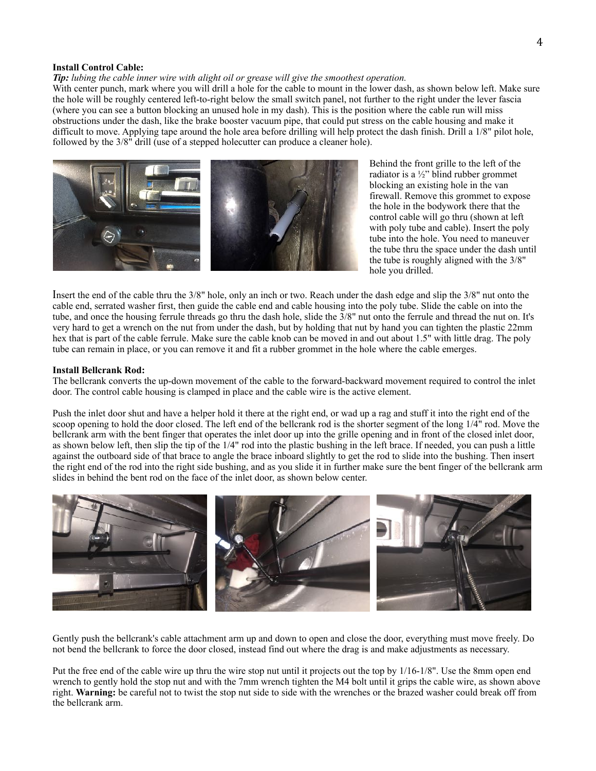#### **Install Control Cable:**

*Tip: lubing the cable inner wire with alight oil or grease will give the smoothest operation.*

With center punch, mark where you will drill a hole for the cable to mount in the lower dash, as shown below left. Make sure the hole will be roughly centered left-to-right below the small switch panel, not further to the right under the lever fascia (where you can see a button blocking an unused hole in my dash). This is the position where the cable run will miss obstructions under the dash, like the brake booster vacuum pipe, that could put stress on the cable housing and make it difficult to move. Applying tape around the hole area before drilling will help protect the dash finish. Drill a 1/8" pilot hole, followed by the 3/8" drill (use of a stepped holecutter can produce a cleaner hole).



Behind the front grille to the left of the radiator is a  $\frac{1}{2}$ " blind rubber grommet blocking an existing hole in the van firewall. Remove this grommet to expose the hole in the bodywork there that the control cable will go thru (shown at left with poly tube and cable). Insert the poly tube into the hole. You need to maneuver the tube thru the space under the dash until the tube is roughly aligned with the 3/8" hole you drilled.

Insert the end of the cable thru the 3/8" hole, only an inch or two. Reach under the dash edge and slip the 3/8" nut onto the cable end, serrated washer first, then guide the cable end and cable housing into the poly tube. Slide the cable on into the tube, and once the housing ferrule threads go thru the dash hole, slide the 3/8" nut onto the ferrule and thread the nut on. It's very hard to get a wrench on the nut from under the dash, but by holding that nut by hand you can tighten the plastic 22mm hex that is part of the cable ferrule. Make sure the cable knob can be moved in and out about 1.5" with little drag. The poly tube can remain in place, or you can remove it and fit a rubber grommet in the hole where the cable emerges.

#### **Install Bellcrank Rod:**

The bellcrank converts the up-down movement of the cable to the forward-backward movement required to control the inlet door. The control cable housing is clamped in place and the cable wire is the active element.

Push the inlet door shut and have a helper hold it there at the right end, or wad up a rag and stuff it into the right end of the scoop opening to hold the door closed. The left end of the bellcrank rod is the shorter segment of the long 1/4" rod. Move the bellcrank arm with the bent finger that operates the inlet door up into the grille opening and in front of the closed inlet door, as shown below left, then slip the tip of the 1/4" rod into the plastic bushing in the left brace. If needed, you can push a little against the outboard side of that brace to angle the brace inboard slightly to get the rod to slide into the bushing. Then insert the right end of the rod into the right side bushing, and as you slide it in further make sure the bent finger of the bellcrank arm slides in behind the bent rod on the face of the inlet door, as shown below center.



Gently push the bellcrank's cable attachment arm up and down to open and close the door, everything must move freely. Do not bend the bellcrank to force the door closed, instead find out where the drag is and make adjustments as necessary.

Put the free end of the cable wire up thru the wire stop nut until it projects out the top by 1/16-1/8". Use the 8mm open end wrench to gently hold the stop nut and with the 7mm wrench tighten the M4 bolt until it grips the cable wire, as shown above right. **Warning:** be careful not to twist the stop nut side to side with the wrenches or the brazed washer could break off from the bellcrank arm.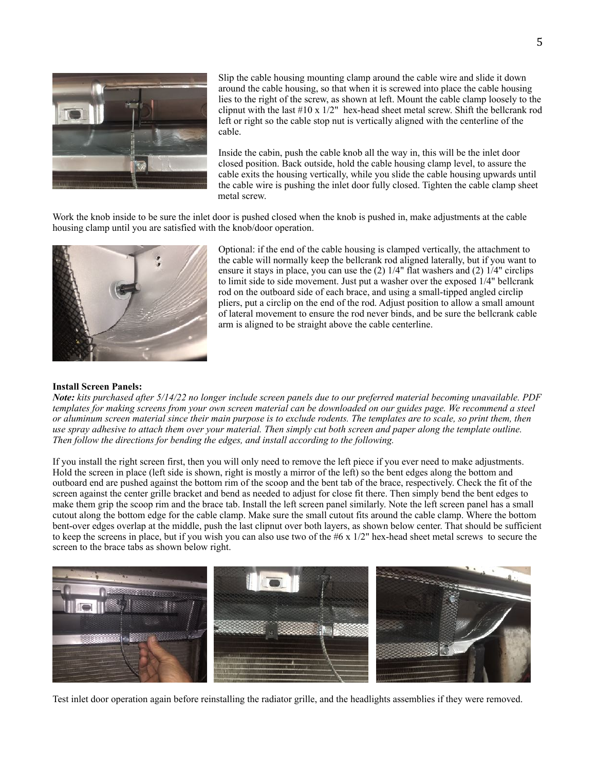

Slip the cable housing mounting clamp around the cable wire and slide it down around the cable housing, so that when it is screwed into place the cable housing lies to the right of the screw, as shown at left. Mount the cable clamp loosely to the clipnut with the last  $\#10 \times 1/2$ " hex-head sheet metal screw. Shift the bellcrank rod left or right so the cable stop nut is vertically aligned with the centerline of the cable.

Inside the cabin, push the cable knob all the way in, this will be the inlet door closed position. Back outside, hold the cable housing clamp level, to assure the cable exits the housing vertically, while you slide the cable housing upwards until the cable wire is pushing the inlet door fully closed. Tighten the cable clamp sheet metal screw.

Work the knob inside to be sure the inlet door is pushed closed when the knob is pushed in, make adjustments at the cable housing clamp until you are satisfied with the knob/door operation.



Optional: if the end of the cable housing is clamped vertically, the attachment to the cable will normally keep the bellcrank rod aligned laterally, but if you want to ensure it stays in place, you can use the (2) 1/4" flat washers and (2) 1/4" circlips to limit side to side movement. Just put a washer over the exposed 1/4" bellcrank rod on the outboard side of each brace, and using a small-tipped angled circlip pliers, put a circlip on the end of the rod. Adjust position to allow a small amount of lateral movement to ensure the rod never binds, and be sure the bellcrank cable arm is aligned to be straight above the cable centerline.

# **Install Screen Panels:**

*Note: kits purchased after 5/14/22 no longer include screen panels due to our preferred material becoming unavailable. PDF templates for making screens from your own screen material can be downloaded on our guides page. We recommend a steel or aluminum screen material since their main purpose is to exclude rodents. The templates are to scale, so print them, then use spray adhesive to attach them over your material. Then simply cut both screen and paper along the template outline. Then follow the directions for bending the edges, and install according to the following.*

If you install the right screen first, then you will only need to remove the left piece if you ever need to make adjustments. Hold the screen in place (left side is shown, right is mostly a mirror of the left) so the bent edges along the bottom and outboard end are pushed against the bottom rim of the scoop and the bent tab of the brace, respectively. Check the fit of the screen against the center grille bracket and bend as needed to adjust for close fit there. Then simply bend the bent edges to make them grip the scoop rim and the brace tab. Install the left screen panel similarly. Note the left screen panel has a small cutout along the bottom edge for the cable clamp. Make sure the small cutout fits around the cable clamp. Where the bottom bent-over edges overlap at the middle, push the last clipnut over both layers, as shown below center. That should be sufficient to keep the screens in place, but if you wish you can also use two of the  $#6 \times 1/2$ " hex-head sheet metal screws to secure the screen to the brace tabs as shown below right.



Test inlet door operation again before reinstalling the radiator grille, and the headlights assemblies if they were removed.